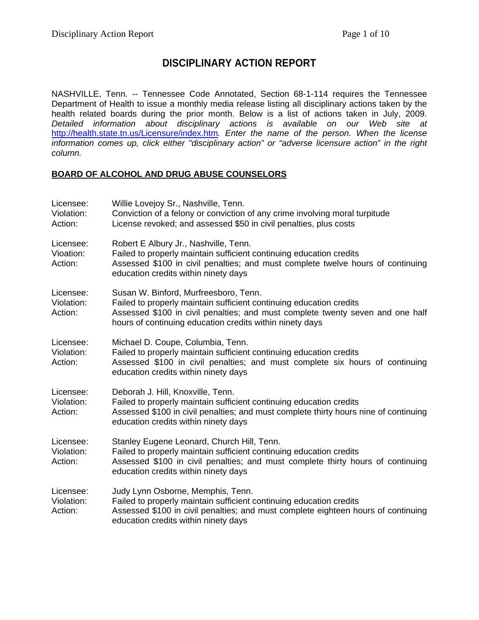# **DISCIPLINARY ACTION REPORT**

NASHVILLE, Tenn. -- Tennessee Code Annotated, Section 68-1-114 requires the Tennessee Department of Health to issue a monthly media release listing all disciplinary actions taken by the health related boards during the prior month. Below is a list of actions taken in July, 2009. *Detailed information about disciplinary actions is available on our Web site at*  <http://health.state.tn.us/Licensure/index.htm>*. Enter the name of the person. When the license information comes up, click either "disciplinary action" or "adverse licensure action" in the right column.* 

### **BOARD OF ALCOHOL AND DRUG ABUSE COUNSELORS**

| Licensee:<br>Violation:<br>Action: | Willie Lovejoy Sr., Nashville, Tenn.<br>Conviction of a felony or conviction of any crime involving moral turpitude<br>License revoked; and assessed \$50 in civil penalties, plus costs                                                                   |
|------------------------------------|------------------------------------------------------------------------------------------------------------------------------------------------------------------------------------------------------------------------------------------------------------|
| Licensee:<br>Vioation:<br>Action:  | Robert E Albury Jr., Nashville, Tenn.<br>Failed to properly maintain sufficient continuing education credits<br>Assessed \$100 in civil penalties; and must complete twelve hours of continuing<br>education credits within ninety days                    |
| Licensee:<br>Violation:<br>Action: | Susan W. Binford, Murfreesboro, Tenn.<br>Failed to properly maintain sufficient continuing education credits<br>Assessed \$100 in civil penalties; and must complete twenty seven and one half<br>hours of continuing education credits within ninety days |
| Licensee:<br>Violation:<br>Action: | Michael D. Coupe, Columbia, Tenn.<br>Failed to properly maintain sufficient continuing education credits<br>Assessed \$100 in civil penalties; and must complete six hours of continuing<br>education credits within ninety days                           |
| Licensee:<br>Violation:<br>Action: | Deborah J. Hill, Knoxville, Tenn.<br>Failed to properly maintain sufficient continuing education credits<br>Assessed \$100 in civil penalties; and must complete thirty hours nine of continuing<br>education credits within ninety days                   |
| Licensee:<br>Violation:<br>Action: | Stanley Eugene Leonard, Church Hill, Tenn.<br>Failed to properly maintain sufficient continuing education credits<br>Assessed \$100 in civil penalties; and must complete thirty hours of continuing<br>education credits within ninety days               |
| Licensee:<br>Violation:<br>Action: | Judy Lynn Osborne, Memphis, Tenn.<br>Failed to properly maintain sufficient continuing education credits<br>Assessed \$100 in civil penalties; and must complete eighteen hours of continuing<br>education credits within ninety days                      |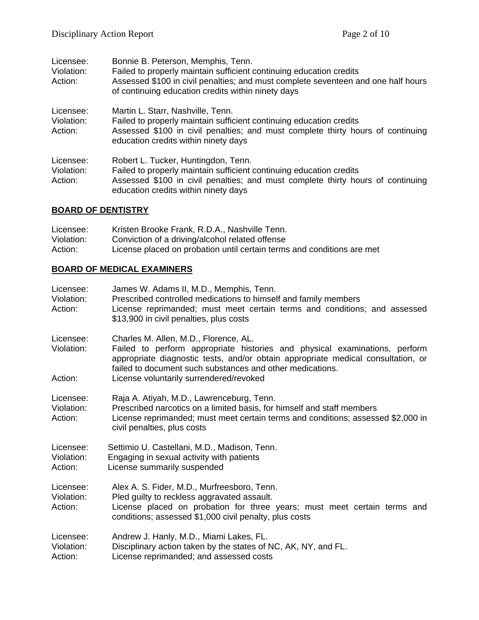| Licensee:<br>Violation:<br>Action: | Bonnie B. Peterson, Memphis, Tenn.<br>Failed to properly maintain sufficient continuing education credits<br>Assessed \$100 in civil penalties; and must complete seventeen and one half hours<br>of continuing education credits within ninety days |
|------------------------------------|------------------------------------------------------------------------------------------------------------------------------------------------------------------------------------------------------------------------------------------------------|
| Licensee:<br>Violation:<br>Action: | Martin L. Starr, Nashville, Tenn.<br>Failed to properly maintain sufficient continuing education credits<br>Assessed \$100 in civil penalties; and must complete thirty hours of continuing<br>education credits within ninety days                  |
| Licensee:<br>Violation:<br>Action: | Robert L. Tucker, Huntingdon, Tenn.<br>Failed to properly maintain sufficient continuing education credits<br>Assessed \$100 in civil penalties; and must complete thirty hours of continuing<br>education credits within ninety days                |

## **BOARD OF DENTISTRY**

| Licensee:  | Kristen Brooke Frank, R.D.A., Nashville Tenn.                          |
|------------|------------------------------------------------------------------------|
| Violation: | Conviction of a driving/alcohol related offense                        |
| Action:    | License placed on probation until certain terms and conditions are met |

## **BOARD OF MEDICAL EXAMINERS**

| Licensee:<br>Violation:<br>Action: | James W. Adams II, M.D., Memphis, Tenn.<br>Prescribed controlled medications to himself and family members<br>License reprimanded; must meet certain terms and conditions; and assessed<br>\$13,900 in civil penalties, plus costs                                   |
|------------------------------------|----------------------------------------------------------------------------------------------------------------------------------------------------------------------------------------------------------------------------------------------------------------------|
| Licensee:<br>Violation:            | Charles M. Allen, M.D., Florence, AL.<br>Failed to perform appropriate histories and physical examinations, perform<br>appropriate diagnostic tests, and/or obtain appropriate medical consultation, or<br>failed to document such substances and other medications. |
| Action:                            | License voluntarily surrendered/revoked                                                                                                                                                                                                                              |
| Licensee:<br>Violation:<br>Action: | Raja A. Atiyah, M.D., Lawrenceburg, Tenn.<br>Prescribed narcotics on a limited basis, for himself and staff members<br>License reprimanded; must meet certain terms and conditions; assessed \$2,000 in<br>civil penalties, plus costs                               |
| Licensee:<br>Violation:<br>Action: | Settimio U. Castellani, M.D., Madison, Tenn.<br>Engaging in sexual activity with patients<br>License summarily suspended                                                                                                                                             |
| Licensee:<br>Violation:<br>Action: | Alex A. S. Fider, M.D., Murfreesboro, Tenn.<br>Pled guilty to reckless aggravated assault.<br>License placed on probation for three years; must meet certain terms and<br>conditions; assessed \$1,000 civil penalty, plus costs                                     |
| Licensee:<br>Violation:<br>Action: | Andrew J. Hanly, M.D., Miami Lakes, FL.<br>Disciplinary action taken by the states of NC, AK, NY, and FL.<br>License reprimanded; and assessed costs                                                                                                                 |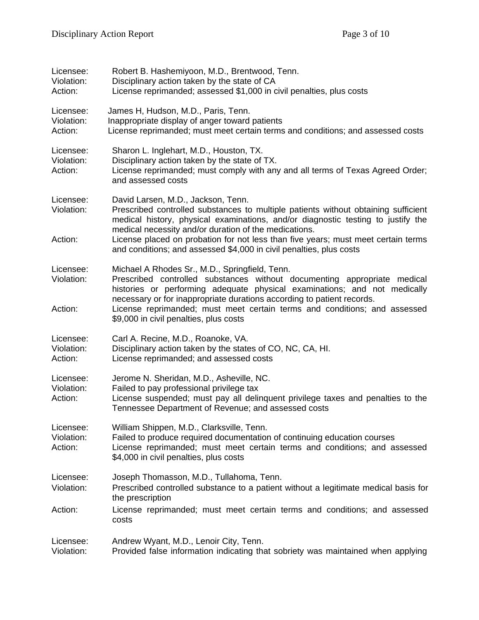| Licensee:<br>Violation:<br>Action: | Robert B. Hashemiyoon, M.D., Brentwood, Tenn.<br>Disciplinary action taken by the state of CA<br>License reprimanded; assessed \$1,000 in civil penalties, plus costs                                                                                                                                                                                                                                                             |
|------------------------------------|-----------------------------------------------------------------------------------------------------------------------------------------------------------------------------------------------------------------------------------------------------------------------------------------------------------------------------------------------------------------------------------------------------------------------------------|
| Licensee:<br>Violation:<br>Action: | James H, Hudson, M.D., Paris, Tenn.<br>Inappropriate display of anger toward patients<br>License reprimanded; must meet certain terms and conditions; and assessed costs                                                                                                                                                                                                                                                          |
| Licensee:<br>Violation:<br>Action: | Sharon L. Inglehart, M.D., Houston, TX.<br>Disciplinary action taken by the state of TX.<br>License reprimanded; must comply with any and all terms of Texas Agreed Order;<br>and assessed costs                                                                                                                                                                                                                                  |
| Licensee:<br>Violation:<br>Action: | David Larsen, M.D., Jackson, Tenn.<br>Prescribed controlled substances to multiple patients without obtaining sufficient<br>medical history, physical examinations, and/or diagnostic testing to justify the<br>medical necessity and/or duration of the medications.<br>License placed on probation for not less than five years; must meet certain terms<br>and conditions; and assessed \$4,000 in civil penalties, plus costs |
| Licensee:<br>Violation:<br>Action: | Michael A Rhodes Sr., M.D., Springfield, Tenn.<br>Prescribed controlled substances without documenting appropriate medical<br>histories or performing adequate physical examinations; and not medically<br>necessary or for inappropriate durations according to patient records.<br>License reprimanded; must meet certain terms and conditions; and assessed<br>\$9,000 in civil penalties, plus costs                          |
| Licensee:<br>Violation:<br>Action: | Carl A. Recine, M.D., Roanoke, VA.<br>Disciplinary action taken by the states of CO, NC, CA, HI.<br>License reprimanded; and assessed costs                                                                                                                                                                                                                                                                                       |
| Licensee:<br>Violation:<br>Action: | Jerome N. Sheridan, M.D., Asheville, NC.<br>Failed to pay professional privilege tax<br>License suspended; must pay all delinquent privilege taxes and penalties to the<br>Tennessee Department of Revenue; and assessed costs                                                                                                                                                                                                    |
| Licensee:<br>Violation:<br>Action: | William Shippen, M.D., Clarksville, Tenn.<br>Failed to produce required documentation of continuing education courses<br>License reprimanded; must meet certain terms and conditions; and assessed<br>\$4,000 in civil penalties, plus costs                                                                                                                                                                                      |
| Licensee:<br>Violation:            | Joseph Thomasson, M.D., Tullahoma, Tenn.<br>Prescribed controlled substance to a patient without a legitimate medical basis for<br>the prescription                                                                                                                                                                                                                                                                               |
| Action:                            | License reprimanded; must meet certain terms and conditions; and assessed<br>costs                                                                                                                                                                                                                                                                                                                                                |
| Licensee:<br>Violation:            | Andrew Wyant, M.D., Lenoir City, Tenn.<br>Provided false information indicating that sobriety was maintained when applying                                                                                                                                                                                                                                                                                                        |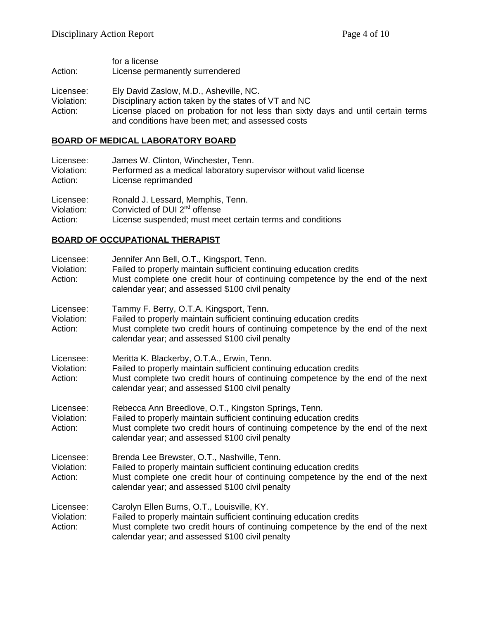for a license Action: License permanently surrendered

- Licensee: Ely David Zaslow, M.D., Asheville, NC.
- Violation: Disciplinary action taken by the states of VT and NC
- Action: License placed on probation for not less than sixty days and until certain terms and conditions have been met; and assessed costs

#### **BOARD OF MEDICAL LABORATORY BOARD**

| Licensee:  | James W. Clinton, Winchester, Tenn.                                |
|------------|--------------------------------------------------------------------|
| Violation: | Performed as a medical laboratory supervisor without valid license |
| Action:    | License reprimanded                                                |
| Licensee:  | Ronald J. Lessard, Memphis, Tenn.                                  |
| Violation: | Convicted of DUI 2 <sup>nd</sup> offense                           |
| Action:    | License suspended; must meet certain terms and conditions          |

### **BOARD OF OCCUPATIONAL THERAPIST**

| Licensee:<br>Violation:<br>Action: | Jennifer Ann Bell, O.T., Kingsport, Tenn.<br>Failed to properly maintain sufficient continuing education credits<br>Must complete one credit hour of continuing competence by the end of the next<br>calendar year; and assessed \$100 civil penalty             |
|------------------------------------|------------------------------------------------------------------------------------------------------------------------------------------------------------------------------------------------------------------------------------------------------------------|
| Licensee:<br>Violation:<br>Action: | Tammy F. Berry, O.T.A. Kingsport, Tenn.<br>Failed to properly maintain sufficient continuing education credits<br>Must complete two credit hours of continuing competence by the end of the next<br>calendar year; and assessed \$100 civil penalty              |
| Licensee:<br>Violation:<br>Action: | Meritta K. Blackerby, O.T.A., Erwin, Tenn.<br>Failed to properly maintain sufficient continuing education credits<br>Must complete two credit hours of continuing competence by the end of the next<br>calendar year; and assessed \$100 civil penalty           |
| Licensee:<br>Violation:<br>Action: | Rebecca Ann Breedlove, O.T., Kingston Springs, Tenn.<br>Failed to properly maintain sufficient continuing education credits<br>Must complete two credit hours of continuing competence by the end of the next<br>calendar year; and assessed \$100 civil penalty |
| Licensee:<br>Violation:<br>Action: | Brenda Lee Brewster, O.T., Nashville, Tenn.<br>Failed to properly maintain sufficient continuing education credits<br>Must complete one credit hour of continuing competence by the end of the next<br>calendar year; and assessed \$100 civil penalty           |
| Licensee:<br>Violation:<br>Action: | Carolyn Ellen Burns, O.T., Louisville, KY.<br>Failed to properly maintain sufficient continuing education credits<br>Must complete two credit hours of continuing competence by the end of the next<br>calendar year; and assessed \$100 civil penalty           |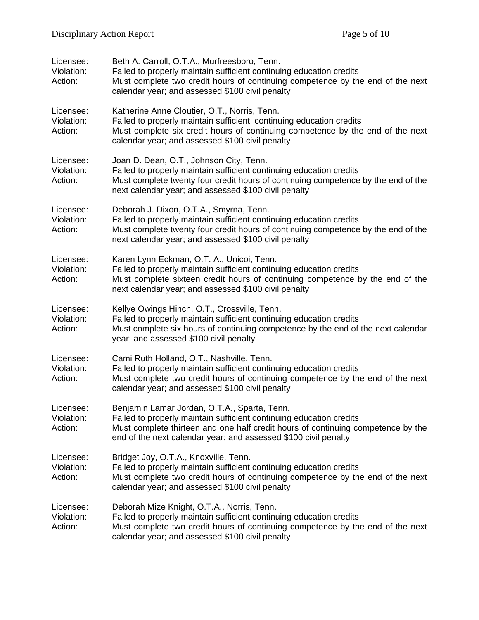| Licensee:<br>Violation:<br>Action: | Beth A. Carroll, O.T.A., Murfreesboro, Tenn.<br>Failed to properly maintain sufficient continuing education credits<br>Must complete two credit hours of continuing competence by the end of the next<br>calendar year; and assessed \$100 civil penalty                   |
|------------------------------------|----------------------------------------------------------------------------------------------------------------------------------------------------------------------------------------------------------------------------------------------------------------------------|
| Licensee:<br>Violation:<br>Action: | Katherine Anne Cloutier, O.T., Norris, Tenn.<br>Failed to properly maintain sufficient continuing education credits<br>Must complete six credit hours of continuing competence by the end of the next<br>calendar year; and assessed \$100 civil penalty                   |
| Licensee:<br>Violation:<br>Action: | Joan D. Dean, O.T., Johnson City, Tenn.<br>Failed to properly maintain sufficient continuing education credits<br>Must complete twenty four credit hours of continuing competence by the end of the<br>next calendar year; and assessed \$100 civil penalty                |
| Licensee:<br>Violation:<br>Action: | Deborah J. Dixon, O.T.A., Smyrna, Tenn.<br>Failed to properly maintain sufficient continuing education credits<br>Must complete twenty four credit hours of continuing competence by the end of the<br>next calendar year; and assessed \$100 civil penalty                |
| Licensee:<br>Violation:<br>Action: | Karen Lynn Eckman, O.T. A., Unicoi, Tenn.<br>Failed to properly maintain sufficient continuing education credits<br>Must complete sixteen credit hours of continuing competence by the end of the<br>next calendar year; and assessed \$100 civil penalty                  |
| Licensee:<br>Violation:<br>Action: | Kellye Owings Hinch, O.T., Crossville, Tenn.<br>Failed to properly maintain sufficient continuing education credits<br>Must complete six hours of continuing competence by the end of the next calendar<br>year; and assessed \$100 civil penalty                          |
| Licensee:<br>Violation:<br>Action: | Cami Ruth Holland, O.T., Nashville, Tenn.<br>Failed to properly maintain sufficient continuing education credits<br>Must complete two credit hours of continuing competence by the end of the next<br>calendar year; and assessed \$100 civil penalty                      |
| Licensee:<br>Violation:<br>Action: | Benjamin Lamar Jordan, O.T.A., Sparta, Tenn.<br>Failed to properly maintain sufficient continuing education credits<br>Must complete thirteen and one half credit hours of continuing competence by the<br>end of the next calendar year; and assessed \$100 civil penalty |
| Licensee:<br>Violation:<br>Action: | Bridget Joy, O.T.A., Knoxville, Tenn.<br>Failed to properly maintain sufficient continuing education credits<br>Must complete two credit hours of continuing competence by the end of the next<br>calendar year; and assessed \$100 civil penalty                          |
| Licensee:<br>Violation:<br>Action: | Deborah Mize Knight, O.T.A., Norris, Tenn.<br>Failed to properly maintain sufficient continuing education credits<br>Must complete two credit hours of continuing competence by the end of the next<br>calendar year; and assessed \$100 civil penalty                     |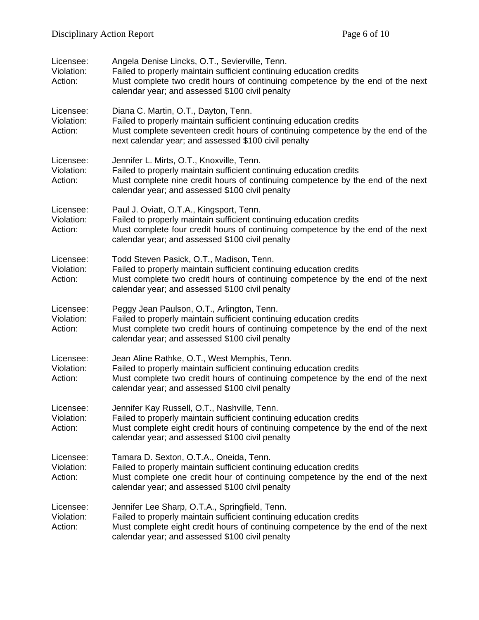| Licensee:<br>Violation:<br>Action: | Angela Denise Lincks, O.T., Sevierville, Tenn.<br>Failed to properly maintain sufficient continuing education credits<br>Must complete two credit hours of continuing competence by the end of the next<br>calendar year; and assessed \$100 civil penalty   |
|------------------------------------|--------------------------------------------------------------------------------------------------------------------------------------------------------------------------------------------------------------------------------------------------------------|
| Licensee:<br>Violation:<br>Action: | Diana C. Martin, O.T., Dayton, Tenn.<br>Failed to properly maintain sufficient continuing education credits<br>Must complete seventeen credit hours of continuing competence by the end of the<br>next calendar year; and assessed \$100 civil penalty       |
| Licensee:<br>Violation:<br>Action: | Jennifer L. Mirts, O.T., Knoxville, Tenn.<br>Failed to properly maintain sufficient continuing education credits<br>Must complete nine credit hours of continuing competence by the end of the next<br>calendar year; and assessed \$100 civil penalty       |
| Licensee:<br>Violation:<br>Action: | Paul J. Oviatt, O.T.A., Kingsport, Tenn.<br>Failed to properly maintain sufficient continuing education credits<br>Must complete four credit hours of continuing competence by the end of the next<br>calendar year; and assessed \$100 civil penalty        |
| Licensee:<br>Violation:<br>Action: | Todd Steven Pasick, O.T., Madison, Tenn.<br>Failed to properly maintain sufficient continuing education credits<br>Must complete two credit hours of continuing competence by the end of the next<br>calendar year; and assessed \$100 civil penalty         |
| Licensee:<br>Violation:<br>Action: | Peggy Jean Paulson, O.T., Arlington, Tenn.<br>Failed to properly maintain sufficient continuing education credits<br>Must complete two credit hours of continuing competence by the end of the next<br>calendar year; and assessed \$100 civil penalty       |
| Licensee:<br>Violation:<br>Action: | Jean Aline Rathke, O.T., West Memphis, Tenn.<br>Failed to properly maintain sufficient continuing education credits<br>Must complete two credit hours of continuing competence by the end of the next<br>calendar year; and assessed \$100 civil penalty     |
| Licensee:<br>Violation:<br>Action: | Jennifer Kay Russell, O.T., Nashville, Tenn.<br>Failed to properly maintain sufficient continuing education credits<br>Must complete eight credit hours of continuing competence by the end of the next<br>calendar year; and assessed \$100 civil penalty   |
| Licensee:<br>Violation:<br>Action: | Tamara D. Sexton, O.T.A., Oneida, Tenn.<br>Failed to properly maintain sufficient continuing education credits<br>Must complete one credit hour of continuing competence by the end of the next<br>calendar year; and assessed \$100 civil penalty           |
| Licensee:<br>Violation:<br>Action: | Jennifer Lee Sharp, O.T.A., Springfield, Tenn.<br>Failed to properly maintain sufficient continuing education credits<br>Must complete eight credit hours of continuing competence by the end of the next<br>calendar year; and assessed \$100 civil penalty |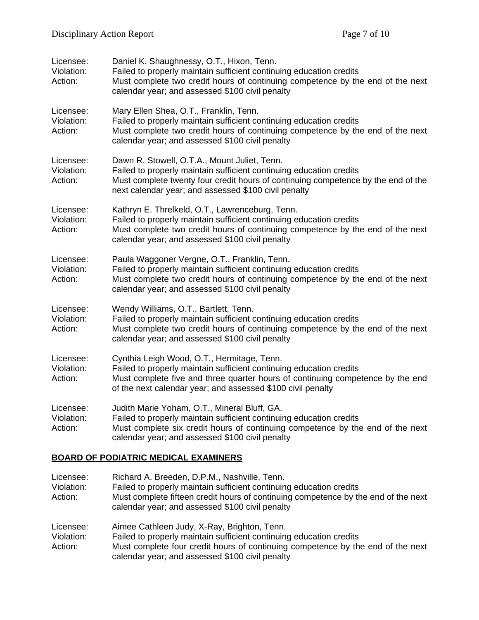| Licensee:<br>Violation:<br>Action: | Daniel K. Shaughnessy, O.T., Hixon, Tenn.<br>Failed to properly maintain sufficient continuing education credits<br>Must complete two credit hours of continuing competence by the end of the next<br>calendar year; and assessed \$100 civil penalty              |
|------------------------------------|--------------------------------------------------------------------------------------------------------------------------------------------------------------------------------------------------------------------------------------------------------------------|
| Licensee:<br>Violation:<br>Action: | Mary Ellen Shea, O.T., Franklin, Tenn.<br>Failed to properly maintain sufficient continuing education credits<br>Must complete two credit hours of continuing competence by the end of the next<br>calendar year; and assessed \$100 civil penalty                 |
| Licensee:<br>Violation:<br>Action: | Dawn R. Stowell, O.T.A., Mount Juliet, Tenn.<br>Failed to properly maintain sufficient continuing education credits<br>Must complete twenty four credit hours of continuing competence by the end of the<br>next calendar year; and assessed \$100 civil penalty   |
| Licensee:<br>Violation:<br>Action: | Kathryn E. Threlkeld, O.T., Lawrenceburg, Tenn.<br>Failed to properly maintain sufficient continuing education credits<br>Must complete two credit hours of continuing competence by the end of the next<br>calendar year; and assessed \$100 civil penalty        |
| Licensee:<br>Violation:<br>Action: | Paula Waggoner Vergne, O.T., Franklin, Tenn.<br>Failed to properly maintain sufficient continuing education credits<br>Must complete two credit hours of continuing competence by the end of the next<br>calendar year; and assessed \$100 civil penalty           |
| Licensee:<br>Violation:<br>Action: | Wendy Williams, O.T., Bartlett, Tenn.<br>Failed to properly maintain sufficient continuing education credits<br>Must complete two credit hours of continuing competence by the end of the next<br>calendar year; and assessed \$100 civil penalty                  |
| Licensee:<br>Violation:<br>Action: | Cynthia Leigh Wood, O.T., Hermitage, Tenn.<br>Failed to properly maintain sufficient continuing education credits<br>Must complete five and three quarter hours of continuing competence by the end<br>of the next calendar year; and assessed \$100 civil penalty |
| Licensee:<br>Violation:<br>Action: | Judith Marie Yoham, O.T., Mineral Bluff, GA.<br>Failed to properly maintain sufficient continuing education credits<br>Must complete six credit hours of continuing competence by the end of the next<br>calendar year; and assessed \$100 civil penalty           |

## **BOARD OF PODIATRIC MEDICAL EXAMINERS**

| Licensee:<br>Violation:<br>Action: | Richard A. Breeden, D.P.M., Nashville, Tenn.<br>Failed to properly maintain sufficient continuing education credits<br>Must complete fifteen credit hours of continuing competence by the end of the next<br>calendar year; and assessed \$100 civil penalty |
|------------------------------------|--------------------------------------------------------------------------------------------------------------------------------------------------------------------------------------------------------------------------------------------------------------|
| Licensee:<br>Violation:<br>Action: | Aimee Cathleen Judy, X-Ray, Brighton, Tenn.<br>Failed to properly maintain sufficient continuing education credits<br>Must complete four credit hours of continuing competence by the end of the next<br>calendar year; and assessed \$100 civil penalty     |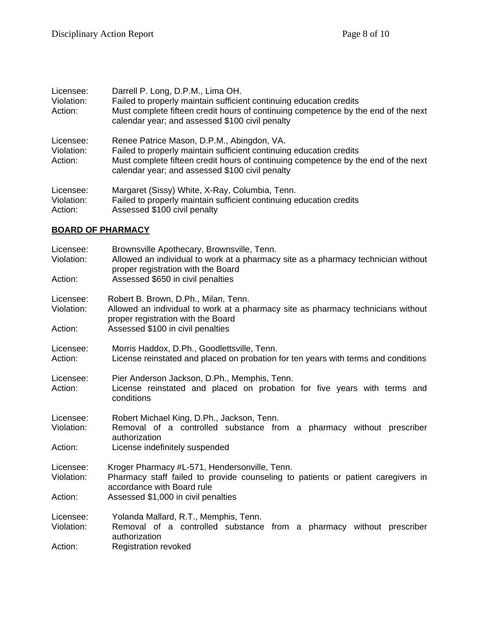| Licensee:<br>Violation:<br>Action: | Darrell P. Long, D.P.M., Lima OH.<br>Failed to properly maintain sufficient continuing education credits<br>Must complete fifteen credit hours of continuing competence by the end of the next<br>calendar year; and assessed \$100 civil penalty          |
|------------------------------------|------------------------------------------------------------------------------------------------------------------------------------------------------------------------------------------------------------------------------------------------------------|
| Licensee:<br>Violation:<br>Action: | Renee Patrice Mason, D.P.M., Abingdon, VA.<br>Failed to properly maintain sufficient continuing education credits<br>Must complete fifteen credit hours of continuing competence by the end of the next<br>calendar year; and assessed \$100 civil penalty |
| Licensee:<br>Violation:<br>Action: | Margaret (Sissy) White, X-Ray, Columbia, Tenn.<br>Failed to properly maintain sufficient continuing education credits<br>Assessed \$100 civil penalty                                                                                                      |

## **BOARD OF PHARMACY**

| Licensee:<br>Violation: | Brownsville Apothecary, Brownsville, Tenn.<br>Allowed an individual to work at a pharmacy site as a pharmacy technician without<br>proper registration with the Board |  |  |
|-------------------------|-----------------------------------------------------------------------------------------------------------------------------------------------------------------------|--|--|
| Action:                 | Assessed \$650 in civil penalties                                                                                                                                     |  |  |
| Licensee:<br>Violation: | Robert B. Brown, D.Ph., Milan, Tenn.<br>Allowed an individual to work at a pharmacy site as pharmacy technicians without<br>proper registration with the Board        |  |  |
| Action:                 | Assessed \$100 in civil penalties                                                                                                                                     |  |  |
| Licensee:<br>Action:    | Morris Haddox, D.Ph., Goodlettsville, Tenn.<br>License reinstated and placed on probation for ten years with terms and conditions                                     |  |  |
| Licensee:<br>Action:    | Pier Anderson Jackson, D.Ph., Memphis, Tenn.<br>License reinstated and placed on probation for five years with terms and<br>conditions                                |  |  |
| Licensee:<br>Violation: | Robert Michael King, D.Ph., Jackson, Tenn.<br>Removal of a controlled substance from a pharmacy without prescriber<br>authorization                                   |  |  |
| Action:                 | License indefinitely suspended                                                                                                                                        |  |  |
| Licensee:<br>Violation: | Kroger Pharmacy #L-571, Hendersonville, Tenn.<br>Pharmacy staff failed to provide counseling to patients or patient caregivers in<br>accordance with Board rule       |  |  |
| Action:                 | Assessed \$1,000 in civil penalties                                                                                                                                   |  |  |
| Licensee:<br>Violation: | Yolanda Mallard, R.T., Memphis, Tenn.<br>Removal of a controlled substance from a pharmacy without prescriber<br>authorization                                        |  |  |
| Action:                 | <b>Registration revoked</b>                                                                                                                                           |  |  |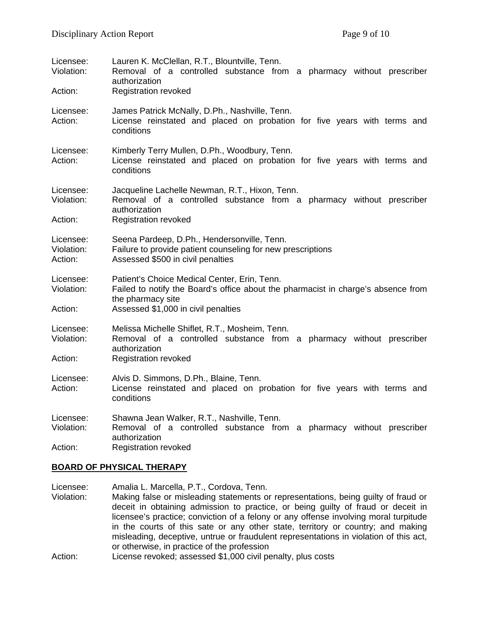| Licensee:<br>Violation:<br>Action: | Lauren K. McClellan, R.T., Blountville, Tenn.<br>Removal of a controlled substance from a pharmacy without prescriber<br>authorization<br><b>Registration revoked</b>                         |  |  |
|------------------------------------|-----------------------------------------------------------------------------------------------------------------------------------------------------------------------------------------------|--|--|
| Licensee:<br>Action:               | James Patrick McNally, D.Ph., Nashville, Tenn.<br>License reinstated and placed on probation for five years with terms and<br>conditions                                                      |  |  |
| Licensee:<br>Action:               | Kimberly Terry Mullen, D.Ph., Woodbury, Tenn.<br>License reinstated and placed on probation for five years with terms and<br>conditions                                                       |  |  |
| Licensee:<br>Violation:<br>Action: | Jacqueline Lachelle Newman, R.T., Hixon, Tenn.<br>Removal of a controlled substance from a pharmacy without prescriber<br>authorization<br><b>Registration revoked</b>                        |  |  |
| Licensee:<br>Violation:<br>Action: | Seena Pardeep, D.Ph., Hendersonville, Tenn.<br>Failure to provide patient counseling for new prescriptions<br>Assessed \$500 in civil penalties                                               |  |  |
| Licensee:<br>Violation:<br>Action: | Patient's Choice Medical Center, Erin, Tenn.<br>Failed to notify the Board's office about the pharmacist in charge's absence from<br>the pharmacy site<br>Assessed \$1,000 in civil penalties |  |  |
| Licensee:<br>Violation:<br>Action: | Melissa Michelle Shiflet, R.T., Mosheim, Tenn.<br>Removal of a controlled substance from a pharmacy without prescriber<br>authorization<br><b>Registration revoked</b>                        |  |  |
| Licensee:<br>Action:               | Alvis D. Simmons, D.Ph., Blaine, Tenn.<br>License reinstated and placed on probation for five years with terms and<br>conditions                                                              |  |  |
| Licensee:<br>Violation:<br>Action: | Shawna Jean Walker, R.T., Nashville, Tenn.<br>Removal of a controlled substance from a pharmacy without prescriber<br>authorization<br><b>Registration revoked</b>                            |  |  |

#### **BOARD OF PHYSICAL THERAPY**

Licensee: Amalia L. Marcella, P.T., Cordova, Tenn. Violation: Making false or misleading statements or representations, being guilty of fraud or deceit in obtaining admission to practice, or being guilty of fraud or deceit in licensee's practice; conviction of a felony or any offense involving moral turpitude in the courts of this sate or any other state, territory or country; and making misleading, deceptive, untrue or fraudulent representations in violation of this act, or otherwise, in practice of the profession

Action: License revoked; assessed \$1,000 civil penalty, plus costs